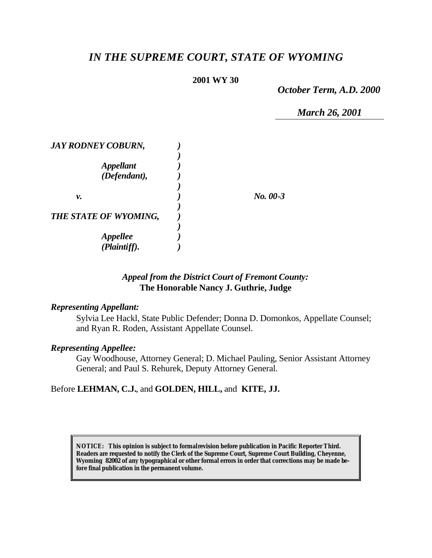# *IN THE SUPREME COURT, STATE OF WYOMING*

### **2001 WY 30**

*October Term, A.D. 2000*

*March 26, 2001*

| <b>JAY RODNEY COBURN,</b> |            |
|---------------------------|------------|
|                           |            |
| <b>Appellant</b>          |            |
| (Defendant),              |            |
|                           |            |
| ν.                        | $No. 00-3$ |
|                           |            |
| THE STATE OF WYOMING,     |            |
|                           |            |
| <b>Appellee</b>           |            |
| (Plaintiff).              |            |

## *Appeal from the District Court of Fremont County:* **The Honorable Nancy J. Guthrie, Judge**

#### *Representing Appellant:*

Sylvia Lee Hackl, State Public Defender; Donna D. Domonkos, Appellate Counsel; and Ryan R. Roden, Assistant Appellate Counsel.

#### *Representing Appellee:*

Gay Woodhouse, Attorney General; D. Michael Pauling, Senior Assistant Attorney General; and Paul S. Rehurek, Deputy Attorney General.

## Before **LEHMAN, C.J.**, and **GOLDEN, HILL,** and **KITE, JJ.**

**NOTICE:** *This opinion is subject to formal revision before publication in Pacific Reporter Third. Readers are requested to notify the Clerk of the Supreme Court, Supreme Court Building, Cheyenne, Wyoming 82002 of any typographical or other formal errors in order that corrections may be made before final publication in the permanent volume.*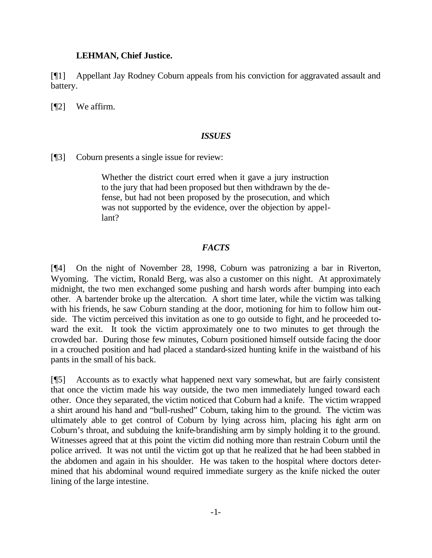#### **LEHMAN, Chief Justice.**

[¶1] Appellant Jay Rodney Coburn appeals from his conviction for aggravated assault and battery.

[¶2] We affirm.

#### *ISSUES*

[¶3] Coburn presents a single issue for review:

Whether the district court erred when it gave a jury instruction to the jury that had been proposed but then withdrawn by the defense, but had not been proposed by the prosecution, and which was not supported by the evidence, over the objection by appellant?

## *FACTS*

[¶4] On the night of November 28, 1998, Coburn was patronizing a bar in Riverton, Wyoming. The victim, Ronald Berg, was also a customer on this night. At approximately midnight, the two men exchanged some pushing and harsh words after bumping into each other. A bartender broke up the altercation. A short time later, while the victim was talking with his friends, he saw Coburn standing at the door, motioning for him to follow him outside. The victim perceived this invitation as one to go outside to fight, and he proceeded toward the exit. It took the victim approximately one to two minutes to get through the crowded bar. During those few minutes, Coburn positioned himself outside facing the door in a crouched position and had placed a standard-sized hunting knife in the waistband of his pants in the small of his back.

[¶5] Accounts as to exactly what happened next vary somewhat, but are fairly consistent that once the victim made his way outside, the two men immediately lunged toward each other. Once they separated, the victim noticed that Coburn had a knife. The victim wrapped a shirt around his hand and "bull-rushed" Coburn, taking him to the ground. The victim was ultimately able to get control of Coburn by lying across him, placing his right arm on Coburn's throat, and subduing the knife-brandishing arm by simply holding it to the ground. Witnesses agreed that at this point the victim did nothing more than restrain Coburn until the police arrived. It was not until the victim got up that he realized that he had been stabbed in the abdomen and again in his shoulder. He was taken to the hospital where doctors determined that his abdominal wound required immediate surgery as the knife nicked the outer lining of the large intestine.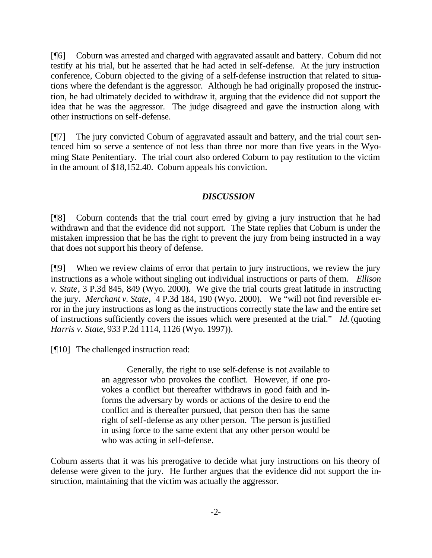[¶6] Coburn was arrested and charged with aggravated assault and battery. Coburn did not testify at his trial, but he asserted that he had acted in self-defense. At the jury instruction conference, Coburn objected to the giving of a self-defense instruction that related to situations where the defendant is the aggressor. Although he had originally proposed the instruction, he had ultimately decided to withdraw it, arguing that the evidence did not support the idea that he was the aggressor. The judge disagreed and gave the instruction along with other instructions on self-defense.

[¶7] The jury convicted Coburn of aggravated assault and battery, and the trial court sentenced him so serve a sentence of not less than three nor more than five years in the Wyoming State Penitentiary. The trial court also ordered Coburn to pay restitution to the victim in the amount of \$18,152.40. Coburn appeals his conviction.

## *DISCUSSION*

[¶8] Coburn contends that the trial court erred by giving a jury instruction that he had withdrawn and that the evidence did not support. The State replies that Coburn is under the mistaken impression that he has the right to prevent the jury from being instructed in a way that does not support his theory of defense.

[¶9] When we review claims of error that pertain to jury instructions, we review the jury instructions as a whole without singling out individual instructions or parts of them. *Ellison v. State*, 3 P.3d 845, 849 (Wyo. 2000). We give the trial courts great latitude in instructing the jury. *Merchant v. State*, 4 P.3d 184, 190 (Wyo. 2000). We "will not find reversible error in the jury instructions as long as the instructions correctly state the law and the entire set of instructions sufficiently covers the issues which were presented at the trial." *Id.* (quoting *Harris v. State*, 933 P.2d 1114, 1126 (Wyo. 1997)).

[¶10] The challenged instruction read:

Generally, the right to use self-defense is not available to an aggressor who provokes the conflict. However, if one provokes a conflict but thereafter withdraws in good faith and informs the adversary by words or actions of the desire to end the conflict and is thereafter pursued, that person then has the same right of self-defense as any other person. The person is justified in using force to the same extent that any other person would be who was acting in self-defense.

Coburn asserts that it was his prerogative to decide what jury instructions on his theory of defense were given to the jury. He further argues that the evidence did not support the instruction, maintaining that the victim was actually the aggressor.